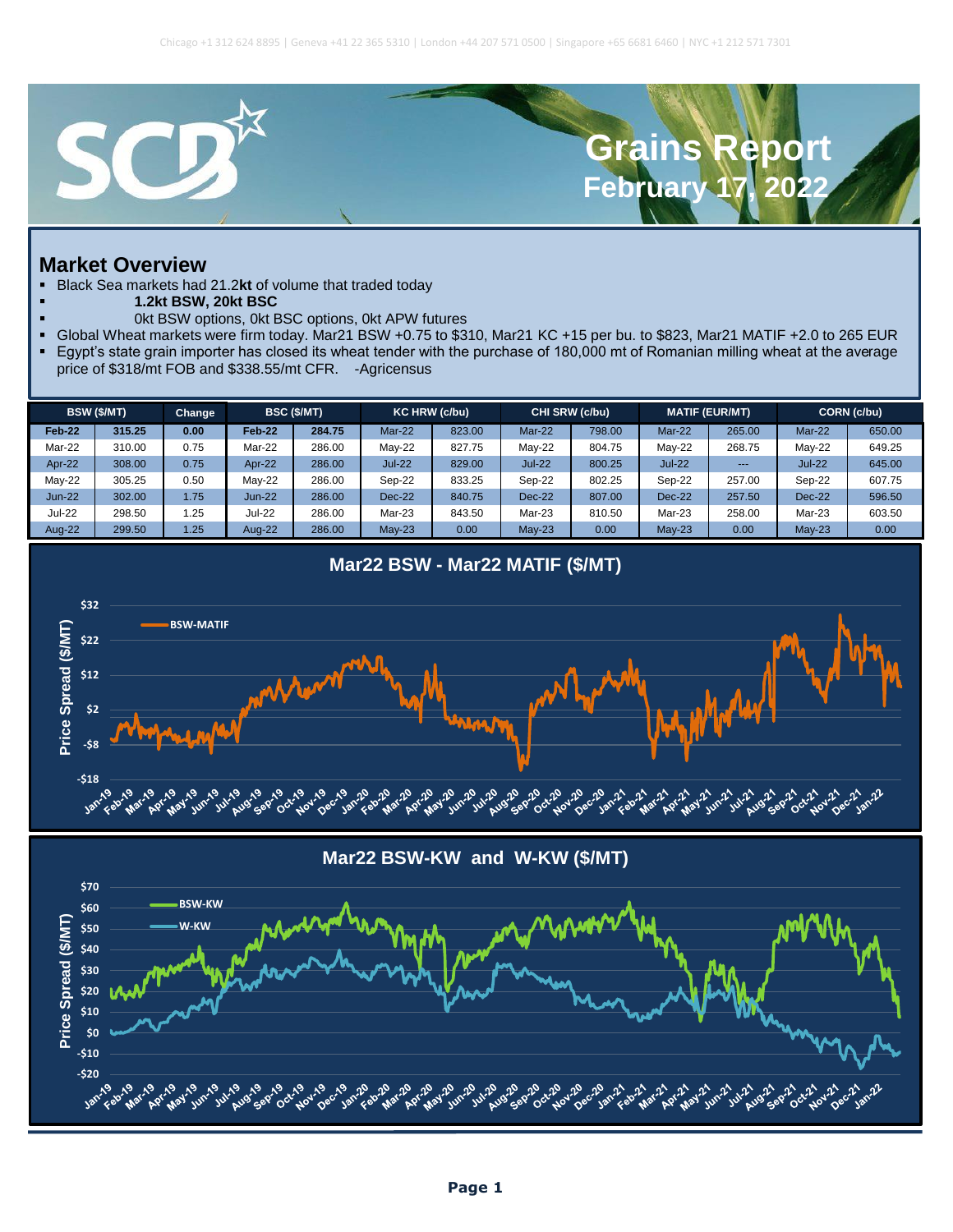

## **Market Overview**

**-\$20**

Feb

**-\$10 \$0**

Black Sea markets had 21.2kt of volume that traded today

- **1.2kt BSW, 20kt BSC**
	- 0kt BSW options, 0kt BSC options, 0kt APW futures
- Global Wheat markets were firm today. Mar21 BSW +0.75 to \$310, Mar21 KC +15 per bu. to \$823, Mar21 MATIF +2.0 to 265 EUR
- Egypt's state grain importer has closed its wheat tender with the purchase of 180,000 mt of Romanian milling wheat at the average price of \$318/mt FOB and \$338.55/mt CFR. -Agricensus

| BSW (\$/MT)   |        | Change | BSC (\$/MT)   |        | KC HRW (c/bu) |        | CHI SRW (c/bu) |        | <b>MATIF (EUR/MT)</b> |                        | CORN (c/bu)   |        |
|---------------|--------|--------|---------------|--------|---------------|--------|----------------|--------|-----------------------|------------------------|---------------|--------|
| Feb-22        | 315.25 | 0.00   | <b>Feb-22</b> | 284.75 | $Mar-22$      | 823.00 | Mar-22         | 798.00 | Mar-22                | 265.00                 | Mar-22        | 650.00 |
| Mar-22        | 310.00 | 0.75   | Mar-22        | 286.00 | Mav-22        | 827.75 | $May-22$       | 804.75 | Mav-22                | 268.75                 | $May-22$      | 649.25 |
| Apr-22        | 308.00 | 0.75   | Apr-22        | 286.00 | <b>Jul-22</b> | 829.00 | <b>Jul-22</b>  | 800.25 | <b>Jul-22</b>         | $\qquad \qquad \cdots$ | <b>Jul-22</b> | 645.00 |
| May-22        | 305.25 | 0.50   | May-22        | 286.00 | Sep-22        | 833.25 | Sep-22         | 802.25 | Sep-22                | 257.00                 | Sep-22        | 607.75 |
| <b>Jun-22</b> | 302.00 | 1.75   | $Jun-22$      | 286.00 | Dec-22        | 840.75 | Dec-22         | 807.00 | $Dec-22$              | 257.50                 | Dec-22        | 596.50 |
| <b>Jul-22</b> | 298.50 | i .25  | <b>Jul-22</b> | 286.00 | Mar-23        | 843.50 | Mar-23         | 810.50 | Mar-23                | 258.00                 | Mar-23        | 603.50 |
| <b>Aug-22</b> | 299.50 | 1.25   | Aug-22        | 286.00 | $Mav-23$      | 0.00   | $May-23$       | 0.00   | $May-23$              | 0.00                   | $May-23$      | 0.00   |



م مهر می در مستقل می برای می برای می برای می برای می برای می برای می برای می برای می برای می برای می برای برای<br>مرگز به در مستقل می برای می برای برای برای می برای برای می برای برای برای می برای برای می برای برای برای برای

21 21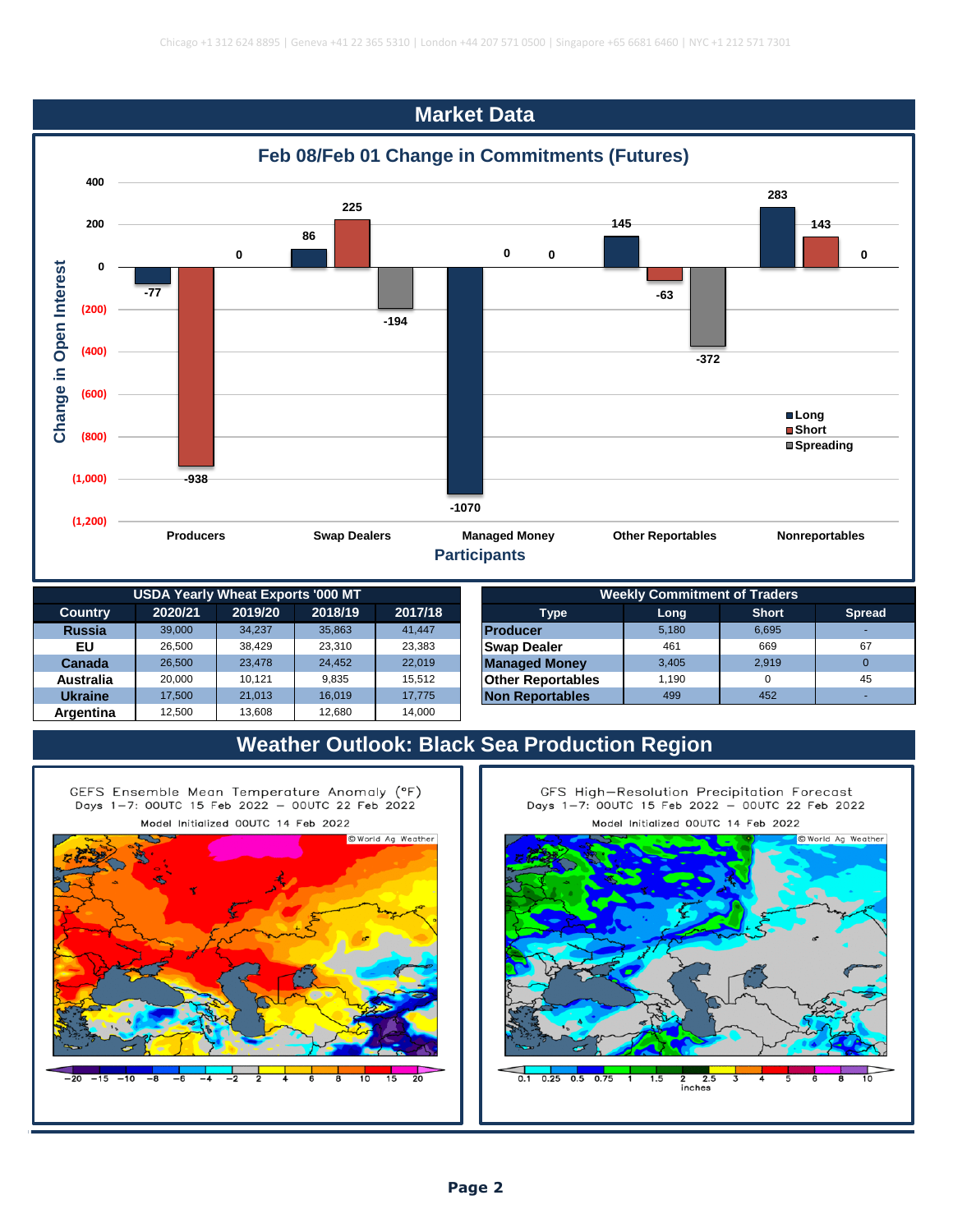

|                  | <b>USDA Yearly Wheat Exports '000 MT</b> |         |         |         | <b>Weekly Commitment of Traders</b> |                          |       |              |          |  |
|------------------|------------------------------------------|---------|---------|---------|-------------------------------------|--------------------------|-------|--------------|----------|--|
| <b>Country</b>   | 2020/21                                  | 2019/20 | 2018/19 | 2017/18 | <b>Type</b>                         |                          | Long  | <b>Short</b> | Spre     |  |
| <b>Russia</b>    | 39,000                                   | 34.237  | 35,863  | 41.447  |                                     | <b>IProducer</b>         | 5.180 | 6,695        |          |  |
| EU               | 26.500                                   | 38.429  | 23.310  | 23,383  |                                     | <b>Swap Dealer</b>       | 461   | 669          | 67       |  |
| Canada           | 26,500                                   | 23.478  | 24.452  | 22,019  |                                     | <b>Managed Money</b>     | 3,405 | 2,919        | $\Omega$ |  |
| <b>Australia</b> | 20.000                                   | 10.121  | 9.835   | 15.512  |                                     | <b>Other Reportables</b> | 1.190 |              | 45       |  |
| <b>Ukraine</b>   | 17.500                                   | 21.013  | 16.019  | 17.775  |                                     | <b>Non Reportables</b>   | 499   | 452          |          |  |
| Argentina        | 12,500                                   | 13,608  | 12.680  | 14,000  |                                     |                          |       |              |          |  |

|                | <b>USDA Yearly Wheat Exports '000 MT</b> |         |         |         |
|----------------|------------------------------------------|---------|---------|---------|
| <b>Country</b> | 2020/21                                  | 2019/20 | 2018/19 | 2017/18 |
| <b>Russia</b>  | 39,000                                   | 34.237  | 35.863  | 41.447  |
| EU             | 26.500                                   | 38.429  | 23.310  | 23.383  |
| Canada         | 26.500                                   | 23.478  | 24.452  | 22.019  |
| Australia      | 20.000                                   | 10.121  | 9.835   | 15.512  |
| <b>Ukraine</b> | 17.500                                   | 21.013  | 16.019  | 17.775  |
|                |                                          |         |         |         |

## **Weather Outlook: Black Sea Production Region**

GEFS Ensemble Mean Temperature Anomaly (°F) Days 1-7: 00UTC 15 Feb 2022 - 00UTC 22 Feb 2022 Model Initialized 00UTC 14 Feb 2022



GFS High-Resolution Precipitation Forecast Days 1-7: 00UTC 15 Feb 2022 - 00UTC 22 Feb 2022 Model Initialized 00UTC 14 Feb 2022

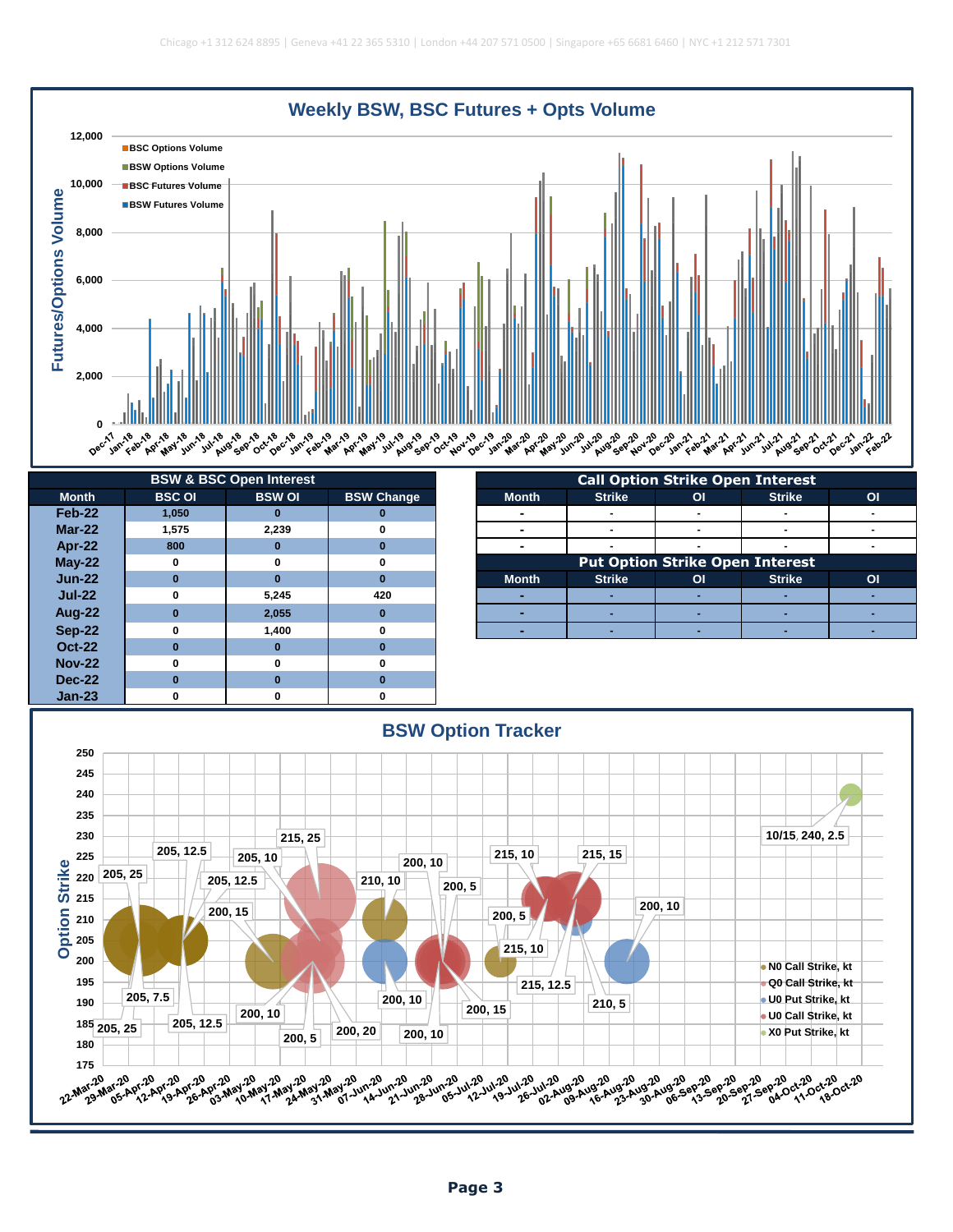

| <b>BSW &amp; BSC Open Interest</b> |                   |          |          |  |  |  |  |  |  |
|------------------------------------|-------------------|----------|----------|--|--|--|--|--|--|
| <b>Month</b>                       | <b>BSW Change</b> |          |          |  |  |  |  |  |  |
| $Feb-22$                           | 1,050             | Ω        | ŋ        |  |  |  |  |  |  |
| $Mar-22$                           | 1,575             | 2,239    | O        |  |  |  |  |  |  |
| Apr-22                             | 800               | $\Omega$ | $\Omega$ |  |  |  |  |  |  |
| <b>May-22</b>                      | 0                 | $\Omega$ | 0        |  |  |  |  |  |  |
| $Jun-22$                           | $\bf{0}$          | $\Omega$ | $\Omega$ |  |  |  |  |  |  |
| $Jul-22$                           | 0                 | 5,245    | 420      |  |  |  |  |  |  |
| Aug-22                             | $\bf{0}$          | 2,055    | n        |  |  |  |  |  |  |
| <b>Sep-22</b>                      | 0                 | 1,400    | $\Omega$ |  |  |  |  |  |  |
| <b>Oct-22</b>                      | $\bf{0}$          | $\Omega$ | $\Omega$ |  |  |  |  |  |  |
| <b>Nov-22</b>                      | 0                 | O        | ŋ        |  |  |  |  |  |  |
| <b>Dec-22</b>                      | $\Omega$          | $\Omega$ | n        |  |  |  |  |  |  |
| $Jan-23$                           | O                 | ŋ        | ŋ        |  |  |  |  |  |  |

| <b>BSW &amp; BSC Open Interest</b> |                                                     |       |     |              | <b>Call Option Strike Open Interest</b> |                |                |                |                |  |  |
|------------------------------------|-----------------------------------------------------|-------|-----|--------------|-----------------------------------------|----------------|----------------|----------------|----------------|--|--|
| <b>Month</b>                       | <b>BSC OI</b><br><b>BSW OI</b><br><b>BSW Change</b> |       |     | <b>Month</b> | <b>Strike</b>                           | O <sub>1</sub> | <b>Strike</b>  | O <sub>1</sub> |                |  |  |
| Feb-22                             | 1,050                                               |       |     |              |                                         |                |                |                |                |  |  |
| $Mar-22$                           | 1,575                                               | 2.239 |     |              |                                         |                |                |                |                |  |  |
| Apr-22                             | 800                                                 |       |     |              |                                         |                |                |                |                |  |  |
| <b>May-22</b>                      |                                                     |       |     |              | <b>Put Option Strike Open Interest</b>  |                |                |                |                |  |  |
| <b>Jun-22</b>                      |                                                     |       |     |              | <b>Month</b>                            | <b>Strike</b>  | O <sub>1</sub> | <b>Strike</b>  | O <sub>1</sub> |  |  |
| <b>Jul-22</b>                      |                                                     | 5.245 | 420 |              |                                         |                |                |                |                |  |  |
| Aug-22                             |                                                     | 2.055 |     |              |                                         |                |                |                |                |  |  |
| <b>Sep-22</b>                      |                                                     | 1.400 |     |              |                                         |                |                |                |                |  |  |